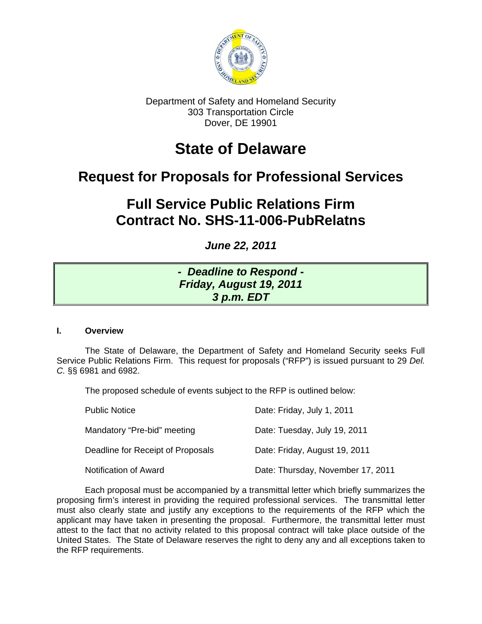

Department of Safety and Homeland Security 303 Transportation Circle Dover, DE 19901

# **State of Delaware**

## **Request for Proposals for Professional Services**

# **Full Service Public Relations Firm Contract No. SHS-11-006-PubRelatns**

*June 22, 2011* 

## *- Deadline to Respond - Friday, August 19, 2011 3 p.m. EDT*

## **I. Overview**

 The State of Delaware, the Department of Safety and Homeland Security seeks Full Service Public Relations Firm. This request for proposals ("RFP") is issued pursuant to 29 *Del. C.* §§ 6981 and 6982.

The proposed schedule of events subject to the RFP is outlined below:

| <b>Public Notice</b>              | Date: Friday, July 1, 2011        |
|-----------------------------------|-----------------------------------|
| Mandatory "Pre-bid" meeting       | Date: Tuesday, July 19, 2011      |
| Deadline for Receipt of Proposals | Date: Friday, August 19, 2011     |
| Notification of Award             | Date: Thursday, November 17, 2011 |

Each proposal must be accompanied by a transmittal letter which briefly summarizes the proposing firm's interest in providing the required professional services. The transmittal letter must also clearly state and justify any exceptions to the requirements of the RFP which the applicant may have taken in presenting the proposal. Furthermore, the transmittal letter must attest to the fact that no activity related to this proposal contract will take place outside of the United States. The State of Delaware reserves the right to deny any and all exceptions taken to the RFP requirements.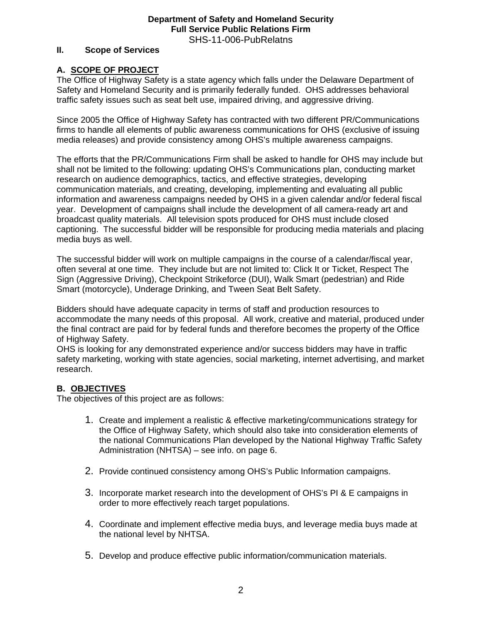#### **II. Scope of Services**

## **A. SCOPE OF PROJECT**

The Office of Highway Safety is a state agency which falls under the Delaware Department of Safety and Homeland Security and is primarily federally funded. OHS addresses behavioral traffic safety issues such as seat belt use, impaired driving, and aggressive driving.

Since 2005 the Office of Highway Safety has contracted with two different PR/Communications firms to handle all elements of public awareness communications for OHS (exclusive of issuing media releases) and provide consistency among OHS's multiple awareness campaigns.

The efforts that the PR/Communications Firm shall be asked to handle for OHS may include but shall not be limited to the following: updating OHS's Communications plan, conducting market research on audience demographics, tactics, and effective strategies, developing communication materials, and creating, developing, implementing and evaluating all public information and awareness campaigns needed by OHS in a given calendar and/or federal fiscal year. Development of campaigns shall include the development of all camera-ready art and broadcast quality materials. All television spots produced for OHS must include closed captioning. The successful bidder will be responsible for producing media materials and placing media buys as well.

The successful bidder will work on multiple campaigns in the course of a calendar/fiscal year, often several at one time. They include but are not limited to: Click It or Ticket, Respect The Sign (Aggressive Driving), Checkpoint Strikeforce (DUI), Walk Smart (pedestrian) and Ride Smart (motorcycle), Underage Drinking, and Tween Seat Belt Safety.

Bidders should have adequate capacity in terms of staff and production resources to accommodate the many needs of this proposal. All work, creative and material, produced under the final contract are paid for by federal funds and therefore becomes the property of the Office of Highway Safety.

OHS is looking for any demonstrated experience and/or success bidders may have in traffic safety marketing, working with state agencies, social marketing, internet advertising, and market research.

## **B. OBJECTIVES**

The objectives of this project are as follows:

- 1. Create and implement a realistic & effective marketing/communications strategy for the Office of Highway Safety, which should also take into consideration elements of the national Communications Plan developed by the National Highway Traffic Safety Administration (NHTSA) – see info. on page 6.
- 2. Provide continued consistency among OHS's Public Information campaigns.
- 3. Incorporate market research into the development of OHS's PI & E campaigns in order to more effectively reach target populations.
- 4. Coordinate and implement effective media buys, and leverage media buys made at the national level by NHTSA.
- 5. Develop and produce effective public information/communication materials.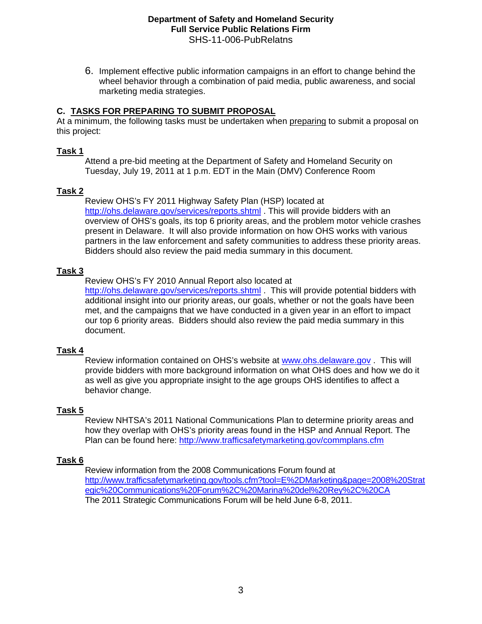6. Implement effective public information campaigns in an effort to change behind the wheel behavior through a combination of paid media, public awareness, and social marketing media strategies.

## **C. TASKS FOR PREPARING TO SUBMIT PROPOSAL**

At a minimum, the following tasks must be undertaken when preparing to submit a proposal on this project:

## **Task 1**

Attend a pre-bid meeting at the Department of Safety and Homeland Security on Tuesday, July 19, 2011 at 1 p.m. EDT in the Main (DMV) Conference Room

## **Task 2**

 Review OHS's FY 2011 Highway Safety Plan (HSP) located at <http://ohs.delaware.gov/services/reports.shtml>. This will provide bidders with an overview of OHS's goals, its top 6 priority areas, and the problem motor vehicle crashes present in Delaware. It will also provide information on how OHS works with various partners in the law enforcement and safety communities to address these priority areas. Bidders should also review the paid media summary in this document.

## **Task 3**

 Review OHS's FY 2010 Annual Report also located at <http://ohs.delaware.gov/services/reports.shtml>. This will provide potential bidders with additional insight into our priority areas, our goals, whether or not the goals have been met, and the campaigns that we have conducted in a given year in an effort to impact our top 6 priority areas. Bidders should also review the paid media summary in this document.

## **Task 4**

Review information contained on OHS's website at [www.ohs.delaware.gov](http://www.ohs.delaware.gov/) . This will provide bidders with more background information on what OHS does and how we do it as well as give you appropriate insight to the age groups OHS identifies to affect a behavior change.

## **Task 5**

 Review NHTSA's 2011 National Communications Plan to determine priority areas and how they overlap with OHS's priority areas found in the HSP and Annual Report. The Plan can be found here: <http://www.trafficsafetymarketing.gov/commplans.cfm>

## **Task 6**

Review information from the 2008 Communications Forum found at [http://www.trafficsafetymarketing.gov/tools.cfm?tool=E%2DMarketing&page=2008%20Strat](http://www.trafficsafetymarketing.gov/tools.cfm?tool=E%2DMarketing&page=2008%20Strategic%20Communications%20Forum%2C%20Marina%20del%20Rey%2C%20CA) [egic%20Communications%20Forum%2C%20Marina%20del%20Rey%2C%20CA](http://www.trafficsafetymarketing.gov/tools.cfm?tool=E%2DMarketing&page=2008%20Strategic%20Communications%20Forum%2C%20Marina%20del%20Rey%2C%20CA) The 2011 Strategic Communications Forum will be held June 6-8, 2011.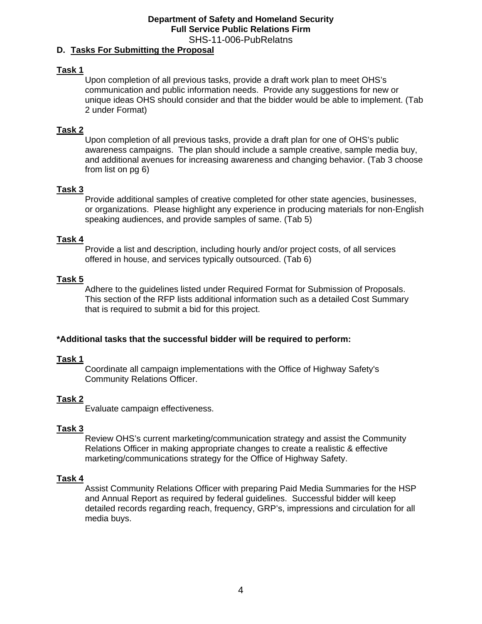#### **D. Tasks For Submitting the Proposal**

#### **Task 1**

Upon completion of all previous tasks, provide a draft work plan to meet OHS's communication and public information needs. Provide any suggestions for new or unique ideas OHS should consider and that the bidder would be able to implement. (Tab 2 under Format)

#### **Task 2**

Upon completion of all previous tasks, provide a draft plan for one of OHS's public awareness campaigns. The plan should include a sample creative, sample media buy, and additional avenues for increasing awareness and changing behavior. (Tab 3 choose from list on pg 6)

#### **Task 3**

Provide additional samples of creative completed for other state agencies, businesses, or organizations. Please highlight any experience in producing materials for non-English speaking audiences, and provide samples of same. (Tab 5)

#### **Task 4**

 Provide a list and description, including hourly and/or project costs, of all services offered in house, and services typically outsourced. (Tab 6)

#### **Task 5**

Adhere to the guidelines listed under Required Format for Submission of Proposals. This section of the RFP lists additional information such as a detailed Cost Summary that is required to submit a bid for this project.

#### **\*Additional tasks that the successful bidder will be required to perform:**

#### **Task 1**

Coordinate all campaign implementations with the Office of Highway Safety's Community Relations Officer.

## **Task 2**

Evaluate campaign effectiveness.

#### **Task 3**

 Review OHS's current marketing/communication strategy and assist the Community Relations Officer in making appropriate changes to create a realistic & effective marketing/communications strategy for the Office of Highway Safety.

#### **Task 4**

 Assist Community Relations Officer with preparing Paid Media Summaries for the HSP and Annual Report as required by federal guidelines. Successful bidder will keep detailed records regarding reach, frequency, GRP's, impressions and circulation for all media buys.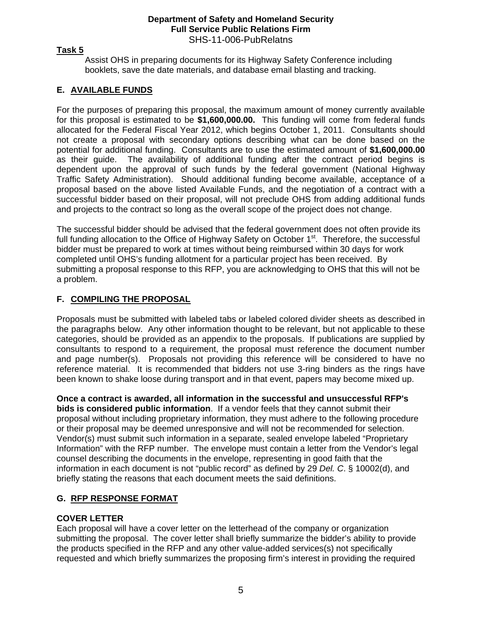## **Task 5**

 Assist OHS in preparing documents for its Highway Safety Conference including booklets, save the date materials, and database email blasting and tracking.

## **E. AVAILABLE FUNDS**

For the purposes of preparing this proposal, the maximum amount of money currently available for this proposal is estimated to be **\$1,600,000.00.** This funding will come from federal funds allocated for the Federal Fiscal Year 2012, which begins October 1, 2011. Consultants should not create a proposal with secondary options describing what can be done based on the potential for additional funding. Consultants are to use the estimated amount of **\$1,600,000.00**  as their guide. The availability of additional funding after the contract period begins is dependent upon the approval of such funds by the federal government (National Highway Traffic Safety Administration). Should additional funding become available, acceptance of a proposal based on the above listed Available Funds, and the negotiation of a contract with a successful bidder based on their proposal, will not preclude OHS from adding additional funds and projects to the contract so long as the overall scope of the project does not change.

The successful bidder should be advised that the federal government does not often provide its full funding allocation to the Office of Highway Safety on October 1<sup>st</sup>. Therefore, the successful bidder must be prepared to work at times without being reimbursed within 30 days for work completed until OHS's funding allotment for a particular project has been received. By submitting a proposal response to this RFP, you are acknowledging to OHS that this will not be a problem.

## **F. COMPILING THE PROPOSAL**

Proposals must be submitted with labeled tabs or labeled colored divider sheets as described in the paragraphs below. Any other information thought to be relevant, but not applicable to these categories, should be provided as an appendix to the proposals. If publications are supplied by consultants to respond to a requirement, the proposal must reference the document number and page number(s). Proposals not providing this reference will be considered to have no reference material. It is recommended that bidders not use 3-ring binders as the rings have been known to shake loose during transport and in that event, papers may become mixed up.

**Once a contract is awarded, all information in the successful and unsuccessful RFP's bids is considered public information**. If a vendor feels that they cannot submit their proposal without including proprietary information, they must adhere to the following procedure or their proposal may be deemed unresponsive and will not be recommended for selection. Vendor(s) must submit such information in a separate, sealed envelope labeled "Proprietary Information" with the RFP number. The envelope must contain a letter from the Vendor's legal counsel describing the documents in the envelope, representing in good faith that the information in each document is not "public record" as defined by 29 *Del. C*. § 10002(d), and briefly stating the reasons that each document meets the said definitions.

## **G. RFP RESPONSE FORMAT**

## **COVER LETTER**

Each proposal will have a cover letter on the letterhead of the company or organization submitting the proposal. The cover letter shall briefly summarize the bidder's ability to provide the products specified in the RFP and any other value-added services(s) not specifically requested and which briefly summarizes the proposing firm's interest in providing the required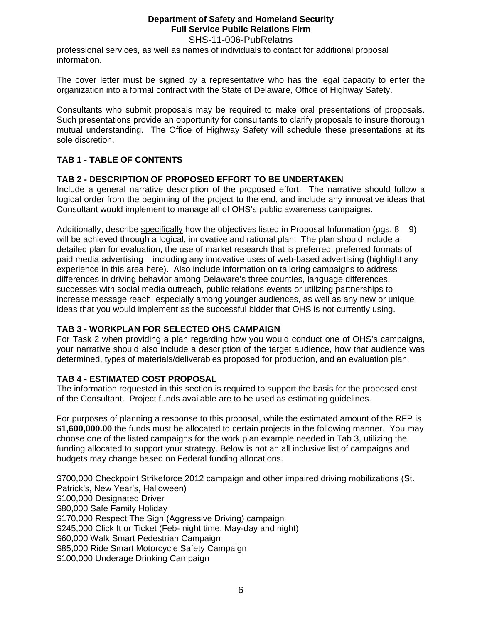## **Department of Safety and Homeland Security Full Service Public Relations Firm**

SHS-11-006-PubRelatns professional services, as well as names of individuals to contact for additional proposal information.

The cover letter must be signed by a representative who has the legal capacity to enter the organization into a formal contract with the State of Delaware, Office of Highway Safety.

Consultants who submit proposals may be required to make oral presentations of proposals. Such presentations provide an opportunity for consultants to clarify proposals to insure thorough mutual understanding. The Office of Highway Safety will schedule these presentations at its sole discretion.

## **TAB 1 - TABLE OF CONTENTS**

## **TAB 2 - DESCRIPTION OF PROPOSED EFFORT TO BE UNDERTAKEN**

Include a general narrative description of the proposed effort. The narrative should follow a logical order from the beginning of the project to the end, and include any innovative ideas that Consultant would implement to manage all of OHS's public awareness campaigns.

Additionally, describe specifically how the objectives listed in Proposal Information (pgs.  $8 - 9$ ) will be achieved through a logical, innovative and rational plan. The plan should include a detailed plan for evaluation, the use of market research that is preferred, preferred formats of paid media advertising – including any innovative uses of web-based advertising (highlight any experience in this area here). Also include information on tailoring campaigns to address differences in driving behavior among Delaware's three counties, language differences, successes with social media outreach, public relations events or utilizing partnerships to increase message reach, especially among younger audiences, as well as any new or unique ideas that you would implement as the successful bidder that OHS is not currently using.

## **TAB 3 - WORKPLAN FOR SELECTED OHS CAMPAIGN**

For Task 2 when providing a plan regarding how you would conduct one of OHS's campaigns, your narrative should also include a description of the target audience, how that audience was determined, types of materials/deliverables proposed for production, and an evaluation plan.

## **TAB 4 - ESTIMATED COST PROPOSAL**

The information requested in this section is required to support the basis for the proposed cost of the Consultant. Project funds available are to be used as estimating guidelines.

For purposes of planning a response to this proposal, while the estimated amount of the RFP is **\$1,600,000.00** the funds must be allocated to certain projects in the following manner. You may choose one of the listed campaigns for the work plan example needed in Tab 3, utilizing the funding allocated to support your strategy. Below is not an all inclusive list of campaigns and budgets may change based on Federal funding allocations.

\$700,000 Checkpoint Strikeforce 2012 campaign and other impaired driving mobilizations (St. Patrick's, New Year's, Halloween) \$100,000 Designated Driver \$80,000 Safe Family Holiday \$170,000 Respect The Sign (Aggressive Driving) campaign \$245,000 Click It or Ticket (Feb- night time, May-day and night) \$60,000 Walk Smart Pedestrian Campaign \$85,000 Ride Smart Motorcycle Safety Campaign \$100,000 Underage Drinking Campaign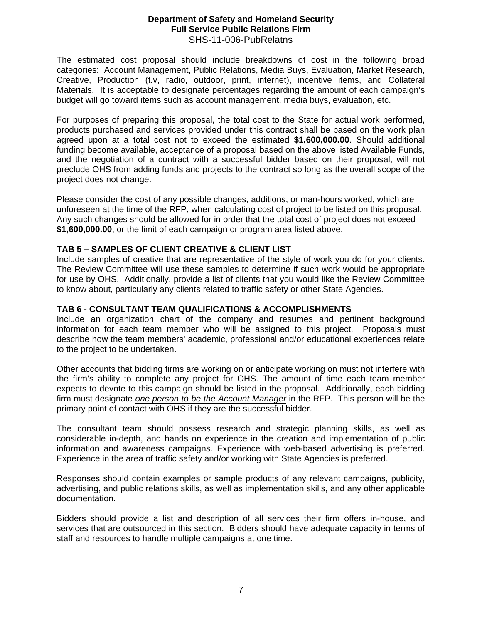The estimated cost proposal should include breakdowns of cost in the following broad categories: Account Management, Public Relations, Media Buys, Evaluation, Market Research, Creative, Production (t.v, radio, outdoor, print, internet), incentive items, and Collateral Materials. It is acceptable to designate percentages regarding the amount of each campaign's budget will go toward items such as account management, media buys, evaluation, etc.

For purposes of preparing this proposal, the total cost to the State for actual work performed, products purchased and services provided under this contract shall be based on the work plan agreed upon at a total cost not to exceed the estimated **\$1,600,000.00**. Should additional funding become available, acceptance of a proposal based on the above listed Available Funds, and the negotiation of a contract with a successful bidder based on their proposal, will not preclude OHS from adding funds and projects to the contract so long as the overall scope of the project does not change.

Please consider the cost of any possible changes, additions, or man-hours worked, which are unforeseen at the time of the RFP, when calculating cost of project to be listed on this proposal. Any such changes should be allowed for in order that the total cost of project does not exceed **\$1,600,000.00**, or the limit of each campaign or program area listed above.

## **TAB 5 – SAMPLES OF CLIENT CREATIVE & CLIENT LIST**

Include samples of creative that are representative of the style of work you do for your clients. The Review Committee will use these samples to determine if such work would be appropriate for use by OHS. Additionally, provide a list of clients that you would like the Review Committee to know about, particularly any clients related to traffic safety or other State Agencies.

## **TAB 6 - CONSULTANT TEAM QUALIFICATIONS & ACCOMPLISHMENTS**

Include an organization chart of the company and resumes and pertinent background information for each team member who will be assigned to this project. Proposals must describe how the team members' academic, professional and/or educational experiences relate to the project to be undertaken.

Other accounts that bidding firms are working on or anticipate working on must not interfere with the firm's ability to complete any project for OHS. The amount of time each team member expects to devote to this campaign should be listed in the proposal. Additionally, each bidding firm must designate *one person to be the Account Manager* in the RFP. This person will be the primary point of contact with OHS if they are the successful bidder.

The consultant team should possess research and strategic planning skills, as well as considerable in-depth, and hands on experience in the creation and implementation of public information and awareness campaigns. Experience with web-based advertising is preferred. Experience in the area of traffic safety and/or working with State Agencies is preferred.

Responses should contain examples or sample products of any relevant campaigns, publicity, advertising, and public relations skills, as well as implementation skills, and any other applicable documentation.

Bidders should provide a list and description of all services their firm offers in-house, and services that are outsourced in this section. Bidders should have adequate capacity in terms of staff and resources to handle multiple campaigns at one time.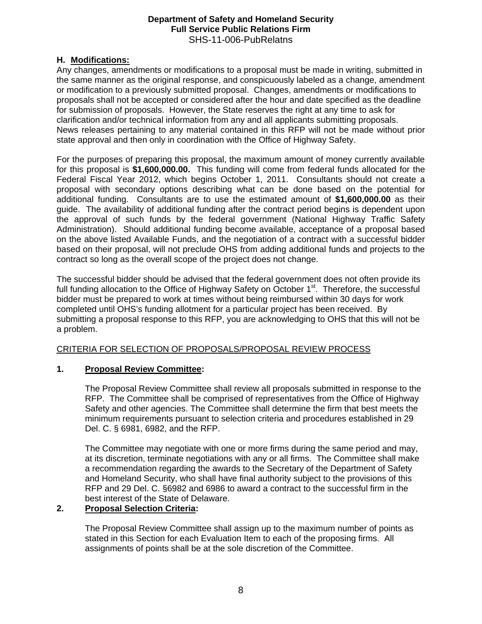## **H. Modifications:**

Any changes, amendments or modifications to a proposal must be made in writing, submitted in the same manner as the original response, and conspicuously labeled as a change, amendment or modification to a previously submitted proposal. Changes, amendments or modifications to proposals shall not be accepted or considered after the hour and date specified as the deadline for submission of proposals. However, the State reserves the right at any time to ask for clarification and/or technical information from any and all applicants submitting proposals. News releases pertaining to any material contained in this RFP will not be made without prior state approval and then only in coordination with the Office of Highway Safety.

For the purposes of preparing this proposal, the maximum amount of money currently available for this proposal is **\$1,600,000.00.** This funding will come from federal funds allocated for the Federal Fiscal Year 2012, which begins October 1, 2011. Consultants should not create a proposal with secondary options describing what can be done based on the potential for additional funding. Consultants are to use the estimated amount of **\$1,600,000.00** as their guide. The availability of additional funding after the contract period begins is dependent upon the approval of such funds by the federal government (National Highway Traffic Safety Administration). Should additional funding become available, acceptance of a proposal based on the above listed Available Funds, and the negotiation of a contract with a successful bidder based on their proposal, will not preclude OHS from adding additional funds and projects to the contract so long as the overall scope of the project does not change.

The successful bidder should be advised that the federal government does not often provide its full funding allocation to the Office of Highway Safety on October 1<sup>st</sup>. Therefore, the successful bidder must be prepared to work at times without being reimbursed within 30 days for work completed until OHS's funding allotment for a particular project has been received. By submitting a proposal response to this RFP, you are acknowledging to OHS that this will not be a problem.

## CRITERIA FOR SELECTION OF PROPOSALS/PROPOSAL REVIEW PROCESS

## **1. Proposal Review Committee:**

The Proposal Review Committee shall review all proposals submitted in response to the RFP. The Committee shall be comprised of representatives from the Office of Highway Safety and other agencies. The Committee shall determine the firm that best meets the minimum requirements pursuant to selection criteria and procedures established in 29 Del. C. § 6981, 6982, and the RFP.

The Committee may negotiate with one or more firms during the same period and may, at its discretion, terminate negotiations with any or all firms. The Committee shall make a recommendation regarding the awards to the Secretary of the Department of Safety and Homeland Security, who shall have final authority subject to the provisions of this RFP and 29 Del. C. §6982 and 6986 to award a contract to the successful firm in the best interest of the State of Delaware.

## **2. Proposal Selection Criteria:**

The Proposal Review Committee shall assign up to the maximum number of points as stated in this Section for each Evaluation Item to each of the proposing firms. All assignments of points shall be at the sole discretion of the Committee.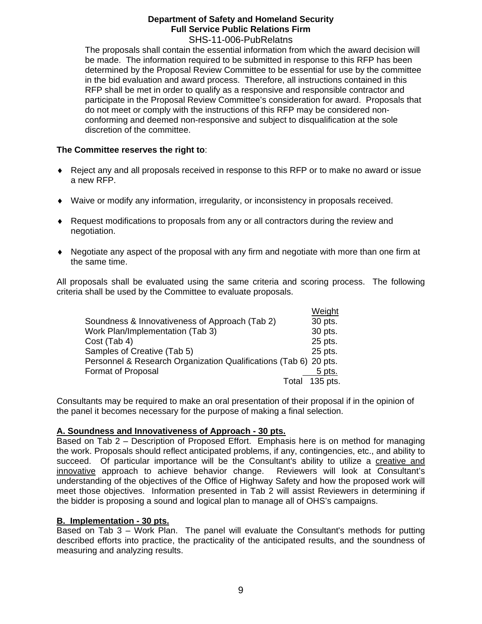The proposals shall contain the essential information from which the award decision will be made. The information required to be submitted in response to this RFP has been determined by the Proposal Review Committee to be essential for use by the committee in the bid evaluation and award process. Therefore, all instructions contained in this RFP shall be met in order to qualify as a responsive and responsible contractor and participate in the Proposal Review Committee's consideration for award. Proposals that do not meet or comply with the instructions of this RFP may be considered nonconforming and deemed non-responsive and subject to disqualification at the sole discretion of the committee.

## **The Committee reserves the right to**:

- Reject any and all proposals received in response to this RFP or to make no award or issue a new RFP.
- Waive or modify any information, irregularity, or inconsistency in proposals received.
- Request modifications to proposals from any or all contractors during the review and negotiation.
- Negotiate any aspect of the proposal with any firm and negotiate with more than one firm at the same time.

All proposals shall be evaluated using the same criteria and scoring process. The following criteria shall be used by the Committee to evaluate proposals.

|                                                                  | Weight            |
|------------------------------------------------------------------|-------------------|
| Soundness & Innovativeness of Approach (Tab 2)                   | 30 pts.           |
| Work Plan/Implementation (Tab 3)                                 | 30 pts.           |
| Cost (Tab 4)                                                     | 25 pts.           |
| Samples of Creative (Tab 5)                                      | 25 pts.           |
| Personnel & Research Organization Qualifications (Tab 6) 20 pts. |                   |
| Format of Proposal                                               | 5 pts.            |
|                                                                  | 135 pts.<br>Total |

Consultants may be required to make an oral presentation of their proposal if in the opinion of the panel it becomes necessary for the purpose of making a final selection.

## **A. Soundness and Innovativeness of Approach - 30 pts.**

Based on Tab 2 – Description of Proposed Effort. Emphasis here is on method for managing the work. Proposals should reflect anticipated problems, if any, contingencies, etc., and ability to succeed. Of particular importance will be the Consultant's ability to utilize a creative and innovative approach to achieve behavior change. Reviewers will look at Consultant's understanding of the objectives of the Office of Highway Safety and how the proposed work will meet those objectives. Information presented in Tab 2 will assist Reviewers in determining if the bidder is proposing a sound and logical plan to manage all of OHS's campaigns.

## **B. Implementation - 30 pts.**

Based on Tab 3 – Work Plan. The panel will evaluate the Consultant's methods for putting described efforts into practice, the practicality of the anticipated results, and the soundness of measuring and analyzing results.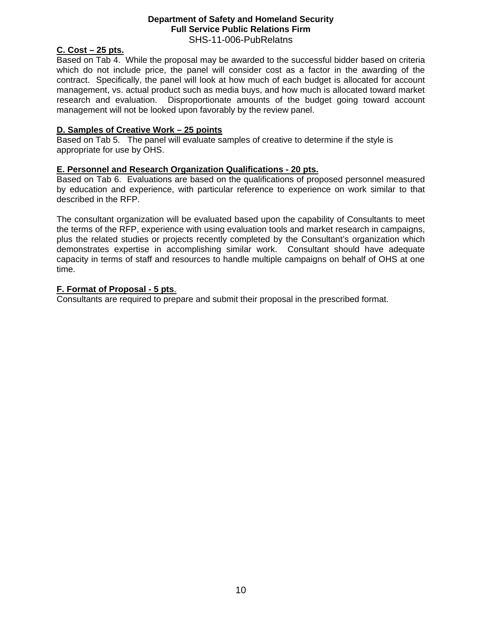#### **C. Cost – 25 pts.**

Based on Tab 4. While the proposal may be awarded to the successful bidder based on criteria which do not include price, the panel will consider cost as a factor in the awarding of the contract. Specifically, the panel will look at how much of each budget is allocated for account management, vs. actual product such as media buys, and how much is allocated toward market research and evaluation. Disproportionate amounts of the budget going toward account management will not be looked upon favorably by the review panel.

#### **D. Samples of Creative Work – 25 points**

Based on Tab 5. The panel will evaluate samples of creative to determine if the style is appropriate for use by OHS.

#### **E. Personnel and Research Organization Qualifications - 20 pts.**

Based on Tab 6. Evaluations are based on the qualifications of proposed personnel measured by education and experience, with particular reference to experience on work similar to that described in the RFP.

The consultant organization will be evaluated based upon the capability of Consultants to meet the terms of the RFP, experience with using evaluation tools and market research in campaigns, plus the related studies or projects recently completed by the Consultant's organization which demonstrates expertise in accomplishing similar work. Consultant should have adequate capacity in terms of staff and resources to handle multiple campaigns on behalf of OHS at one time.

#### **F. Format of Proposal - 5 pts**.

Consultants are required to prepare and submit their proposal in the prescribed format.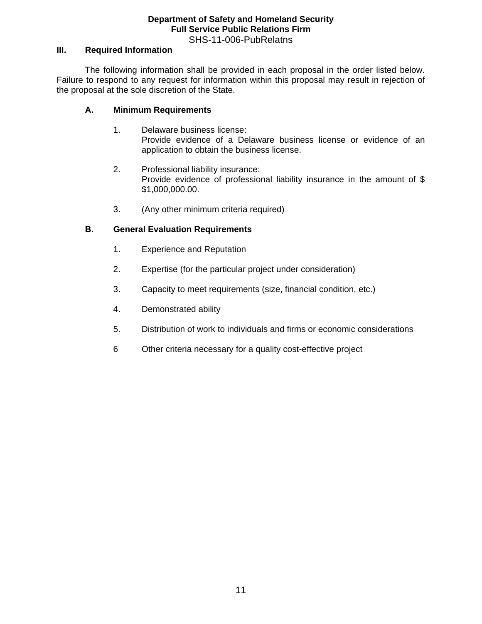## **III. Required Information**

 The following information shall be provided in each proposal in the order listed below. Failure to respond to any request for information within this proposal may result in rejection of the proposal at the sole discretion of the State.

#### **A. Minimum Requirements**

- 1. Delaware business license: Provide evidence of a Delaware business license or evidence of an application to obtain the business license.
- 2. Professional liability insurance: Provide evidence of professional liability insurance in the amount of \$ \$1,000,000.00.
- 3. (Any other minimum criteria required)

## **B. General Evaluation Requirements**

- 1. Experience and Reputation
- 2. Expertise (for the particular project under consideration)
- 3. Capacity to meet requirements (size, financial condition, etc.)
- 4. Demonstrated ability
- 5. Distribution of work to individuals and firms or economic considerations
- 6 Other criteria necessary for a quality cost-effective project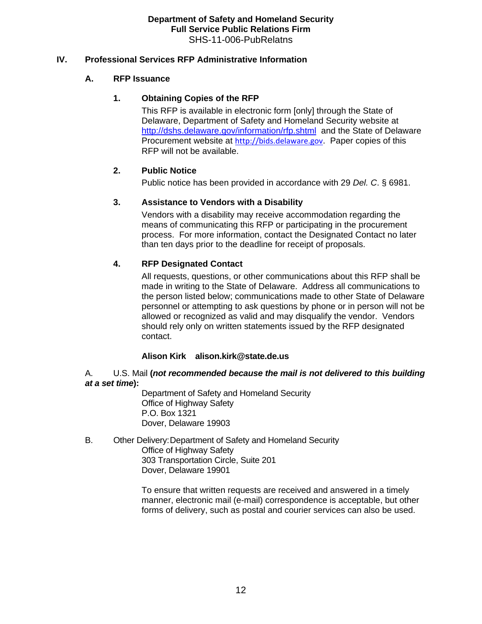## **IV. Professional Services RFP Administrative Information**

## **A. RFP Issuance**

## **1. Obtaining Copies of the RFP**

This RFP is available in electronic form [only] through the State of Delaware, Department of Safety and Homeland Security website at <http://dshs.delaware.gov/information/rfp.shtml> and the State of Delaware Procurement website at [http://bids.delaware.gov](http://bids.delaware.gov/). Paper copies of this RFP will not be available.

## **2. Public Notice**

Public notice has been provided in accordance with 29 *Del. C*. § 6981.

## **3. Assistance to Vendors with a Disability**

Vendors with a disability may receive accommodation regarding the means of communicating this RFP or participating in the procurement process. For more information, contact the Designated Contact no later than ten days prior to the deadline for receipt of proposals.

## **4. RFP Designated Contact**

All requests, questions, or other communications about this RFP shall be made in writing to the State of Delaware. Address all communications to the person listed below; communications made to other State of Delaware personnel or attempting to ask questions by phone or in person will not be allowed or recognized as valid and may disqualify the vendor. Vendors should rely only on written statements issued by the RFP designated contact.

## **Alison Kirk alison.kirk@state.de.us**

## A. U.S. Mail **(***not recommended because the mail is not delivered to this building at a set time***):**

 Department of Safety and Homeland Security Office of Highway Safety P.O. Box 1321 Dover, Delaware 19903

B. Other Delivery: Department of Safety and Homeland Security Office of Highway Safety 303 Transportation Circle, Suite 201 Dover, Delaware 19901

> To ensure that written requests are received and answered in a timely manner, electronic mail (e-mail) correspondence is acceptable, but other forms of delivery, such as postal and courier services can also be used.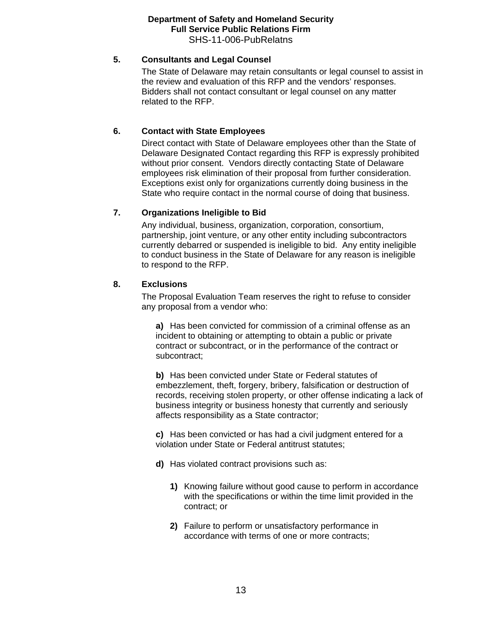#### **5. Consultants and Legal Counsel**

The State of Delaware may retain consultants or legal counsel to assist in the review and evaluation of this RFP and the vendors' responses. Bidders shall not contact consultant or legal counsel on any matter related to the RFP.

#### **6. Contact with State Employees**

Direct contact with State of Delaware employees other than the State of Delaware Designated Contact regarding this RFP is expressly prohibited without prior consent. Vendors directly contacting State of Delaware employees risk elimination of their proposal from further consideration. Exceptions exist only for organizations currently doing business in the State who require contact in the normal course of doing that business.

## **7. Organizations Ineligible to Bid**

Any individual, business, organization, corporation, consortium, partnership, joint venture, or any other entity including subcontractors currently debarred or suspended is ineligible to bid. Any entity ineligible to conduct business in the State of Delaware for any reason is ineligible to respond to the RFP.

#### **8. Exclusions**

The Proposal Evaluation Team reserves the right to refuse to consider any proposal from a vendor who:

**a)** Has been convicted for commission of a criminal offense as an incident to obtaining or attempting to obtain a public or private contract or subcontract, or in the performance of the contract or subcontract;

**b)** Has been convicted under State or Federal statutes of embezzlement, theft, forgery, bribery, falsification or destruction of records, receiving stolen property, or other offense indicating a lack of business integrity or business honesty that currently and seriously affects responsibility as a State contractor;

**c)** Has been convicted or has had a civil judgment entered for a violation under State or Federal antitrust statutes;

- **d)** Has violated contract provisions such as:
	- **1)** Knowing failure without good cause to perform in accordance with the specifications or within the time limit provided in the contract; or
	- **2)** Failure to perform or unsatisfactory performance in accordance with terms of one or more contracts;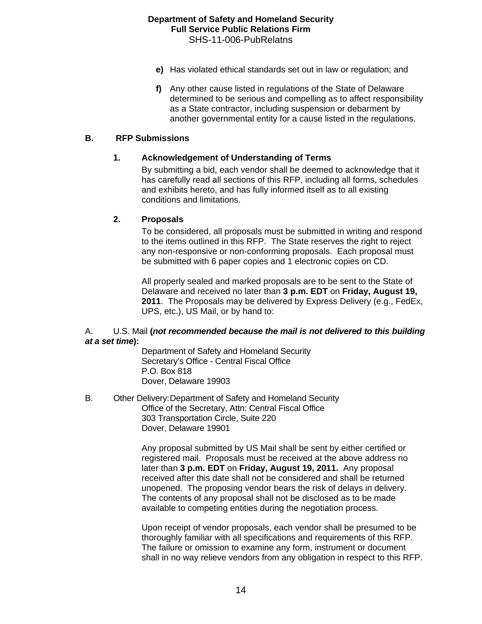- **e)** Has violated ethical standards set out in law or regulation; and
- **f)** Any other cause listed in regulations of the State of Delaware determined to be serious and compelling as to affect responsibility as a State contractor, including suspension or debarment by another governmental entity for a cause listed in the regulations.

#### **B. RFP Submissions**

## **1. Acknowledgement of Understanding of Terms**

By submitting a bid, each vendor shall be deemed to acknowledge that it has carefully read all sections of this RFP, including all forms, schedules and exhibits hereto, and has fully informed itself as to all existing conditions and limitations.

#### **2. Proposals**

To be considered, all proposals must be submitted in writing and respond to the items outlined in this RFP. The State reserves the right to reject any non-responsive or non-conforming proposals. Each proposal must be submitted with 6 paper copies and 1 electronic copies on CD.

All properly sealed and marked proposals are to be sent to the State of Delaware and received no later than **3 p.m. EDT** on **Friday, August 19, 2011**. The Proposals may be delivered by Express Delivery (e.g., FedEx, UPS, etc.), US Mail, or by hand to:

#### A. U.S. Mail **(***not recommended because the mail is not delivered to this building at a set time***):**

 Department of Safety and Homeland Security Secretary's Office - Central Fiscal Office P.O. Box 818 Dover, Delaware 19903

B. Other Delivery: Department of Safety and Homeland Security Office of the Secretary, Attn: Central Fiscal Office 303 Transportation Circle, Suite 220 Dover, Delaware 19901

> Any proposal submitted by US Mail shall be sent by either certified or registered mail. Proposals must be received at the above address no later than **3 p.m. EDT** on **Friday, August 19, 2011.** Any proposal received after this date shall not be considered and shall be returned unopened. The proposing vendor bears the risk of delays in delivery. The contents of any proposal shall not be disclosed as to be made available to competing entities during the negotiation process.

Upon receipt of vendor proposals, each vendor shall be presumed to be thoroughly familiar with all specifications and requirements of this RFP. The failure or omission to examine any form, instrument or document shall in no way relieve vendors from any obligation in respect to this RFP.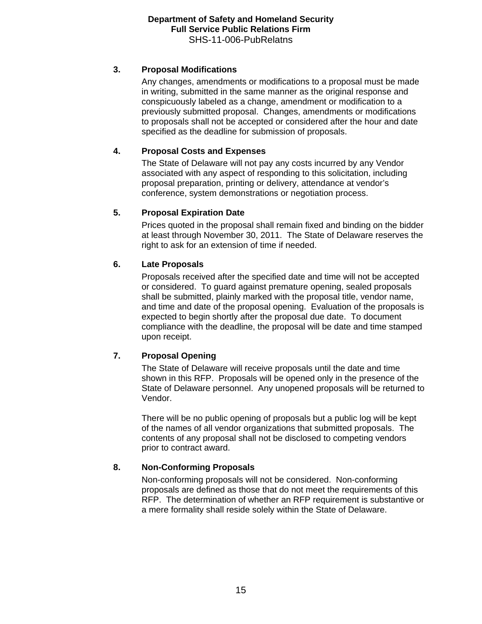## **3. Proposal Modifications**

Any changes, amendments or modifications to a proposal must be made in writing, submitted in the same manner as the original response and conspicuously labeled as a change, amendment or modification to a previously submitted proposal. Changes, amendments or modifications to proposals shall not be accepted or considered after the hour and date specified as the deadline for submission of proposals.

## **4. Proposal Costs and Expenses**

The State of Delaware will not pay any costs incurred by any Vendor associated with any aspect of responding to this solicitation, including proposal preparation, printing or delivery, attendance at vendor's conference, system demonstrations or negotiation process.

## **5. Proposal Expiration Date**

Prices quoted in the proposal shall remain fixed and binding on the bidder at least through November 30, 2011. The State of Delaware reserves the right to ask for an extension of time if needed.

## **6. Late Proposals**

Proposals received after the specified date and time will not be accepted or considered. To guard against premature opening, sealed proposals shall be submitted, plainly marked with the proposal title, vendor name, and time and date of the proposal opening. Evaluation of the proposals is expected to begin shortly after the proposal due date. To document compliance with the deadline, the proposal will be date and time stamped upon receipt.

## **7. Proposal Opening**

The State of Delaware will receive proposals until the date and time shown in this RFP. Proposals will be opened only in the presence of the State of Delaware personnel. Any unopened proposals will be returned to Vendor.

There will be no public opening of proposals but a public log will be kept of the names of all vendor organizations that submitted proposals. The contents of any proposal shall not be disclosed to competing vendors prior to contract award.

## **8. Non-Conforming Proposals**

Non-conforming proposals will not be considered. Non-conforming proposals are defined as those that do not meet the requirements of this RFP. The determination of whether an RFP requirement is substantive or a mere formality shall reside solely within the State of Delaware.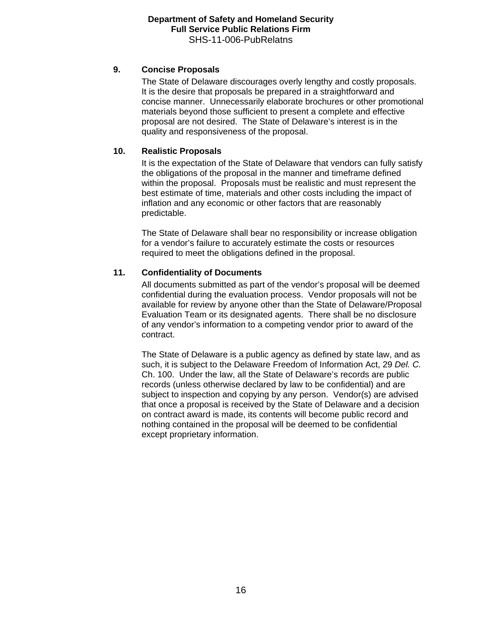## **9. Concise Proposals**

The State of Delaware discourages overly lengthy and costly proposals. It is the desire that proposals be prepared in a straightforward and concise manner. Unnecessarily elaborate brochures or other promotional materials beyond those sufficient to present a complete and effective proposal are not desired. The State of Delaware's interest is in the quality and responsiveness of the proposal.

## **10. Realistic Proposals**

It is the expectation of the State of Delaware that vendors can fully satisfy the obligations of the proposal in the manner and timeframe defined within the proposal. Proposals must be realistic and must represent the best estimate of time, materials and other costs including the impact of inflation and any economic or other factors that are reasonably predictable.

The State of Delaware shall bear no responsibility or increase obligation for a vendor's failure to accurately estimate the costs or resources required to meet the obligations defined in the proposal.

## **11. Confidentiality of Documents**

All documents submitted as part of the vendor's proposal will be deemed confidential during the evaluation process. Vendor proposals will not be available for review by anyone other than the State of Delaware/Proposal Evaluation Team or its designated agents. There shall be no disclosure of any vendor's information to a competing vendor prior to award of the contract.

The State of Delaware is a public agency as defined by state law, and as such, it is subject to the Delaware Freedom of Information Act, 29 *Del. C.* Ch. 100. Under the law, all the State of Delaware's records are public records (unless otherwise declared by law to be confidential) and are subject to inspection and copying by any person. Vendor(s) are advised that once a proposal is received by the State of Delaware and a decision on contract award is made, its contents will become public record and nothing contained in the proposal will be deemed to be confidential except proprietary information.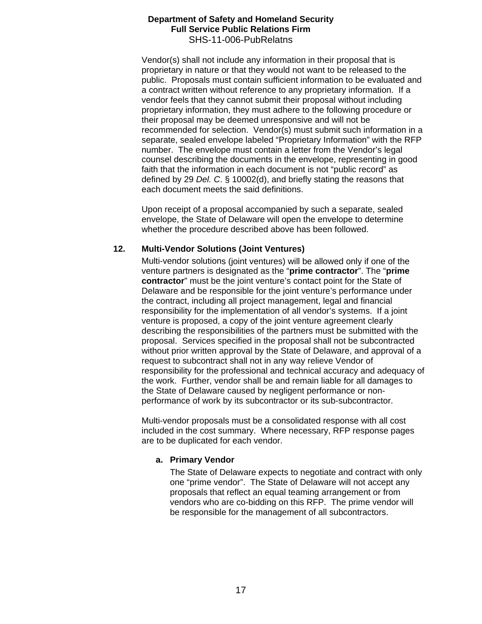Vendor(s) shall not include any information in their proposal that is proprietary in nature or that they would not want to be released to the public. Proposals must contain sufficient information to be evaluated and a contract written without reference to any proprietary information. If a vendor feels that they cannot submit their proposal without including proprietary information, they must adhere to the following procedure or their proposal may be deemed unresponsive and will not be recommended for selection. Vendor(s) must submit such information in a separate, sealed envelope labeled "Proprietary Information" with the RFP number. The envelope must contain a letter from the Vendor's legal counsel describing the documents in the envelope, representing in good faith that the information in each document is not "public record" as defined by 29 *Del. C*. § 10002(d), and briefly stating the reasons that each document meets the said definitions.

Upon receipt of a proposal accompanied by such a separate, sealed envelope, the State of Delaware will open the envelope to determine whether the procedure described above has been followed.

## **12. Multi-Vendor Solutions (Joint Ventures)**

Multi-vendor solutions (joint ventures) will be allowed only if one of the venture partners is designated as the "**prime contractor**". The "**prime contractor**" must be the joint venture's contact point for the State of Delaware and be responsible for the joint venture's performance under the contract, including all project management, legal and financial responsibility for the implementation of all vendor's systems. If a joint venture is proposed, a copy of the joint venture agreement clearly describing the responsibilities of the partners must be submitted with the proposal. Services specified in the proposal shall not be subcontracted without prior written approval by the State of Delaware, and approval of a request to subcontract shall not in any way relieve Vendor of responsibility for the professional and technical accuracy and adequacy of the work. Further, vendor shall be and remain liable for all damages to the State of Delaware caused by negligent performance or nonperformance of work by its subcontractor or its sub-subcontractor.

Multi-vendor proposals must be a consolidated response with all cost included in the cost summary. Where necessary, RFP response pages are to be duplicated for each vendor.

## **a. Primary Vendor**

The State of Delaware expects to negotiate and contract with only one "prime vendor". The State of Delaware will not accept any proposals that reflect an equal teaming arrangement or from vendors who are co-bidding on this RFP. The prime vendor will be responsible for the management of all subcontractors.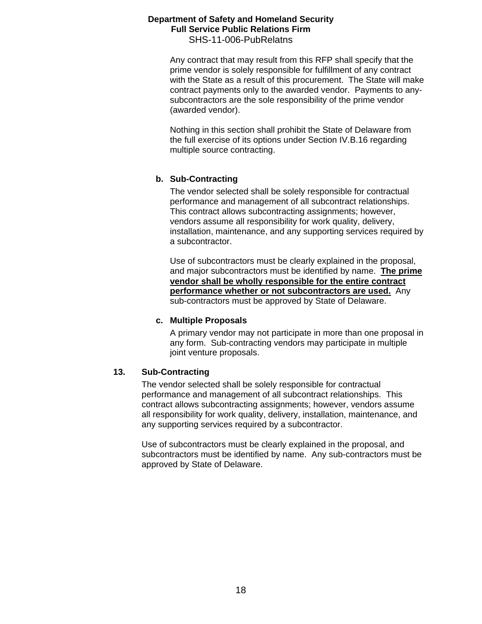Any contract that may result from this RFP shall specify that the prime vendor is solely responsible for fulfillment of any contract with the State as a result of this procurement. The State will make contract payments only to the awarded vendor. Payments to anysubcontractors are the sole responsibility of the prime vendor (awarded vendor).

Nothing in this section shall prohibit the State of Delaware from the full exercise of its options under Section IV.B.16 regarding multiple source contracting.

## **b. Sub-Contracting**

The vendor selected shall be solely responsible for contractual performance and management of all subcontract relationships. This contract allows subcontracting assignments; however, vendors assume all responsibility for work quality, delivery, installation, maintenance, and any supporting services required by a subcontractor.

Use of subcontractors must be clearly explained in the proposal, and major subcontractors must be identified by name. **The prime vendor shall be wholly responsible for the entire contract performance whether or not subcontractors are used.** Any sub-contractors must be approved by State of Delaware.

#### **c. Multiple Proposals**

A primary vendor may not participate in more than one proposal in any form. Sub-contracting vendors may participate in multiple joint venture proposals.

## **13. Sub-Contracting**

The vendor selected shall be solely responsible for contractual performance and management of all subcontract relationships. This contract allows subcontracting assignments; however, vendors assume all responsibility for work quality, delivery, installation, maintenance, and any supporting services required by a subcontractor.

Use of subcontractors must be clearly explained in the proposal, and subcontractors must be identified by name. Any sub-contractors must be approved by State of Delaware.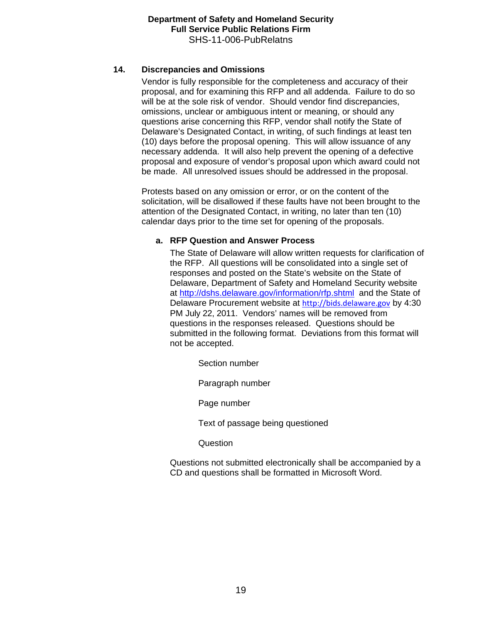## **14. Discrepancies and Omissions**

Vendor is fully responsible for the completeness and accuracy of their proposal, and for examining this RFP and all addenda. Failure to do so will be at the sole risk of vendor. Should vendor find discrepancies, omissions, unclear or ambiguous intent or meaning, or should any questions arise concerning this RFP, vendor shall notify the State of Delaware's Designated Contact, in writing, of such findings at least ten (10) days before the proposal opening. This will allow issuance of any necessary addenda. It will also help prevent the opening of a defective proposal and exposure of vendor's proposal upon which award could not be made. All unresolved issues should be addressed in the proposal.

Protests based on any omission or error, or on the content of the solicitation, will be disallowed if these faults have not been brought to the attention of the Designated Contact, in writing, no later than ten (10) calendar days prior to the time set for opening of the proposals.

## **a. RFP Question and Answer Process**

The State of Delaware will allow written requests for clarification of the RFP. All questions will be consolidated into a single set of responses and posted on the State's website on the State of Delaware, Department of Safety and Homeland Security website at<http://dshs.delaware.gov/information/rfp.shtml> and the State of Delaware Procurement website at [http://bids.delaware.gov](http://bids.delaware.gov/) by 4:30 PM July 22, 2011. Vendors' names will be removed from questions in the responses released. Questions should be submitted in the following format. Deviations from this format will not be accepted.

Section number

Paragraph number

Page number

Text of passage being questioned

**Question** 

Questions not submitted electronically shall be accompanied by a CD and questions shall be formatted in Microsoft Word.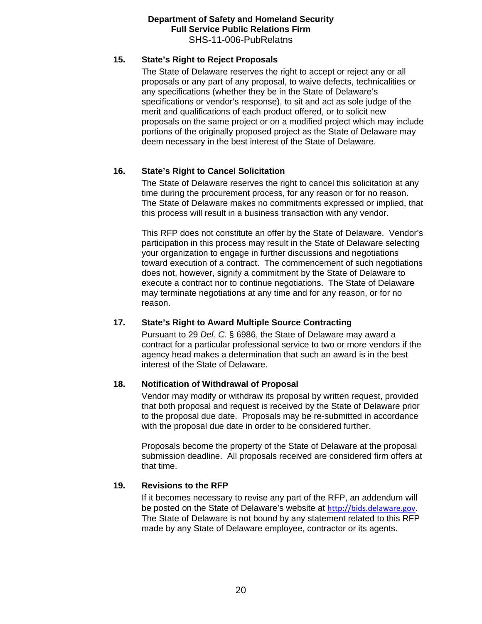#### **15. State's Right to Reject Proposals**

The State of Delaware reserves the right to accept or reject any or all proposals or any part of any proposal, to waive defects, technicalities or any specifications (whether they be in the State of Delaware's specifications or vendor's response), to sit and act as sole judge of the merit and qualifications of each product offered, or to solicit new proposals on the same project or on a modified project which may include portions of the originally proposed project as the State of Delaware may deem necessary in the best interest of the State of Delaware.

## **16. State's Right to Cancel Solicitation**

The State of Delaware reserves the right to cancel this solicitation at any time during the procurement process, for any reason or for no reason. The State of Delaware makes no commitments expressed or implied, that this process will result in a business transaction with any vendor.

This RFP does not constitute an offer by the State of Delaware. Vendor's participation in this process may result in the State of Delaware selecting your organization to engage in further discussions and negotiations toward execution of a contract. The commencement of such negotiations does not, however, signify a commitment by the State of Delaware to execute a contract nor to continue negotiations. The State of Delaware may terminate negotiations at any time and for any reason, or for no reason.

## **17. State's Right to Award Multiple Source Contracting**

Pursuant to 29 *Del. C*. § 6986, the State of Delaware may award a contract for a particular professional service to two or more vendors if the agency head makes a determination that such an award is in the best interest of the State of Delaware.

#### **18. Notification of Withdrawal of Proposal**

Vendor may modify or withdraw its proposal by written request, provided that both proposal and request is received by the State of Delaware prior to the proposal due date. Proposals may be re-submitted in accordance with the proposal due date in order to be considered further.

Proposals become the property of the State of Delaware at the proposal submission deadline. All proposals received are considered firm offers at that time.

#### **19. Revisions to the RFP**

If it becomes necessary to revise any part of the RFP, an addendum will be posted on the State of Delaware's website at [http://bids.delaware.gov](http://bids.delaware.gov/). The State of Delaware is not bound by any statement related to this RFP made by any State of Delaware employee, contractor or its agents.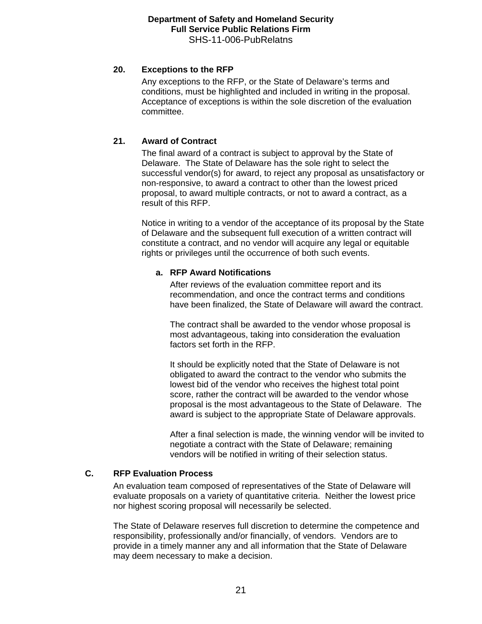## **20. Exceptions to the RFP**

Any exceptions to the RFP, or the State of Delaware's terms and conditions, must be highlighted and included in writing in the proposal. Acceptance of exceptions is within the sole discretion of the evaluation committee.

## **21. Award of Contract**

The final award of a contract is subject to approval by the State of Delaware. The State of Delaware has the sole right to select the successful vendor(s) for award, to reject any proposal as unsatisfactory or non-responsive, to award a contract to other than the lowest priced proposal, to award multiple contracts, or not to award a contract, as a result of this RFP.

Notice in writing to a vendor of the acceptance of its proposal by the State of Delaware and the subsequent full execution of a written contract will constitute a contract, and no vendor will acquire any legal or equitable rights or privileges until the occurrence of both such events.

## **a. RFP Award Notifications**

After reviews of the evaluation committee report and its recommendation, and once the contract terms and conditions have been finalized, the State of Delaware will award the contract.

The contract shall be awarded to the vendor whose proposal is most advantageous, taking into consideration the evaluation factors set forth in the RFP.

It should be explicitly noted that the State of Delaware is not obligated to award the contract to the vendor who submits the lowest bid of the vendor who receives the highest total point score, rather the contract will be awarded to the vendor whose proposal is the most advantageous to the State of Delaware. The award is subject to the appropriate State of Delaware approvals.

After a final selection is made, the winning vendor will be invited to negotiate a contract with the State of Delaware; remaining vendors will be notified in writing of their selection status.

## **C. RFP Evaluation Process**

An evaluation team composed of representatives of the State of Delaware will evaluate proposals on a variety of quantitative criteria. Neither the lowest price nor highest scoring proposal will necessarily be selected.

The State of Delaware reserves full discretion to determine the competence and responsibility, professionally and/or financially, of vendors. Vendors are to provide in a timely manner any and all information that the State of Delaware may deem necessary to make a decision.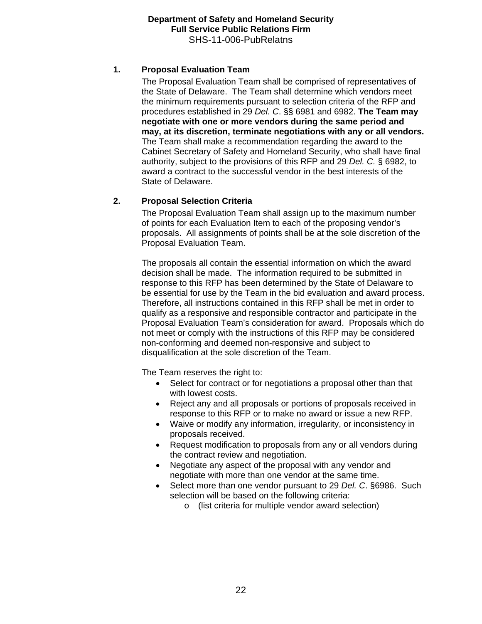## **1. Proposal Evaluation Team**

The Proposal Evaluation Team shall be comprised of representatives of the State of Delaware. The Team shall determine which vendors meet the minimum requirements pursuant to selection criteria of the RFP and procedures established in 29 *Del. C*. §§ 6981 and 6982. **The Team may negotiate with one or more vendors during the same period and may, at its discretion, terminate negotiations with any or all vendors.**  The Team shall make a recommendation regarding the award to the Cabinet Secretary of Safety and Homeland Security, who shall have final authority, subject to the provisions of this RFP and 29 *Del. C.* § 6982, to award a contract to the successful vendor in the best interests of the State of Delaware.

## **2. Proposal Selection Criteria**

The Proposal Evaluation Team shall assign up to the maximum number of points for each Evaluation Item to each of the proposing vendor's proposals. All assignments of points shall be at the sole discretion of the Proposal Evaluation Team.

The proposals all contain the essential information on which the award decision shall be made. The information required to be submitted in response to this RFP has been determined by the State of Delaware to be essential for use by the Team in the bid evaluation and award process. Therefore, all instructions contained in this RFP shall be met in order to qualify as a responsive and responsible contractor and participate in the Proposal Evaluation Team's consideration for award. Proposals which do not meet or comply with the instructions of this RFP may be considered non-conforming and deemed non-responsive and subject to disqualification at the sole discretion of the Team.

The Team reserves the right to:

- Select for contract or for negotiations a proposal other than that with lowest costs.
- Reject any and all proposals or portions of proposals received in response to this RFP or to make no award or issue a new RFP.
- Waive or modify any information, irregularity, or inconsistency in proposals received.
- Request modification to proposals from any or all vendors during the contract review and negotiation.
- Negotiate any aspect of the proposal with any vendor and negotiate with more than one vendor at the same time.
- Select more than one vendor pursuant to 29 *Del. C*. §6986. Such selection will be based on the following criteria:
	- o (list criteria for multiple vendor award selection)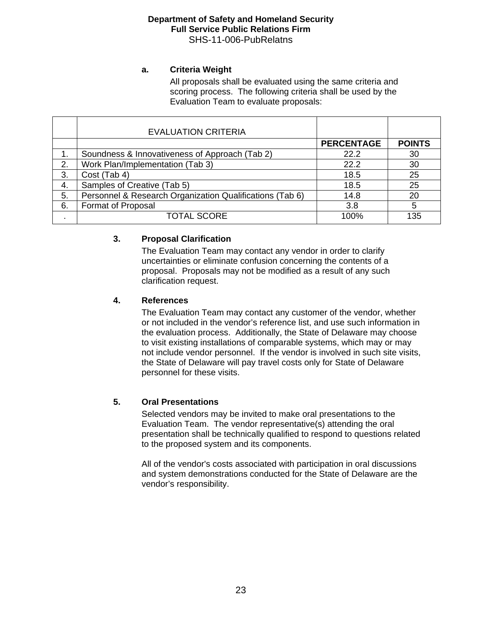## **a. Criteria Weight**

All proposals shall be evaluated using the same criteria and scoring process. The following criteria shall be used by the Evaluation Team to evaluate proposals:

|    | <b>EVALUATION CRITERIA</b>                               |                   |               |
|----|----------------------------------------------------------|-------------------|---------------|
|    |                                                          | <b>PERCENTAGE</b> | <b>POINTS</b> |
|    | Soundness & Innovativeness of Approach (Tab 2)           | 22.2              | 30            |
| 2. | Work Plan/Implementation (Tab 3)                         | 22.2              | 30            |
| 3. | Cost (Tab 4)                                             | 18.5              | 25            |
| 4. | Samples of Creative (Tab 5)                              | 18.5              | 25            |
| 5. | Personnel & Research Organization Qualifications (Tab 6) | 14.8              | 20            |
| 6. | <b>Format of Proposal</b>                                | 3.8               | 5             |
|    | <b>TOTAL SCORE</b>                                       | 100%              | 135           |

## **3. Proposal Clarification**

The Evaluation Team may contact any vendor in order to clarify uncertainties or eliminate confusion concerning the contents of a proposal. Proposals may not be modified as a result of any such clarification request.

## **4. References**

The Evaluation Team may contact any customer of the vendor, whether or not included in the vendor's reference list, and use such information in the evaluation process. Additionally, the State of Delaware may choose to visit existing installations of comparable systems, which may or may not include vendor personnel. If the vendor is involved in such site visits, the State of Delaware will pay travel costs only for State of Delaware personnel for these visits.

## **5. Oral Presentations**

Selected vendors may be invited to make oral presentations to the Evaluation Team. The vendor representative(s) attending the oral presentation shall be technically qualified to respond to questions related to the proposed system and its components.

All of the vendor's costs associated with participation in oral discussions and system demonstrations conducted for the State of Delaware are the vendor's responsibility.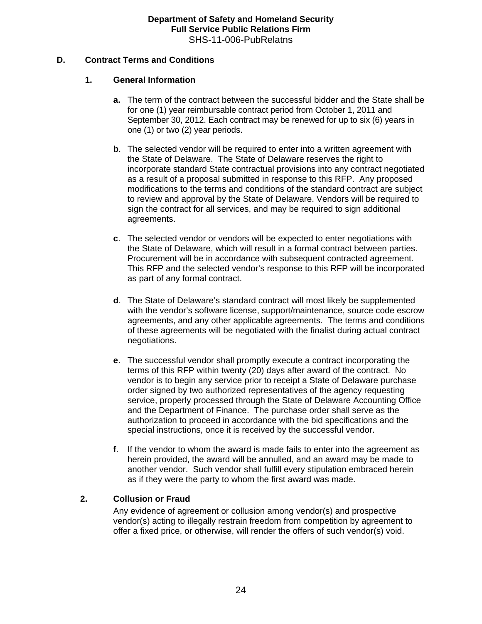## **D. Contract Terms and Conditions**

## **1. General Information**

- **a.** The term of the contract between the successful bidder and the State shall be for one (1) year reimbursable contract period from October 1, 2011 and September 30, 2012. Each contract may be renewed for up to six (6) years in one (1) or two (2) year periods.
- **b.** The selected vendor will be required to enter into a written agreement with the State of Delaware. The State of Delaware reserves the right to incorporate standard State contractual provisions into any contract negotiated as a result of a proposal submitted in response to this RFP. Any proposed modifications to the terms and conditions of the standard contract are subject to review and approval by the State of Delaware. Vendors will be required to sign the contract for all services, and may be required to sign additional agreements.
- **c**. The selected vendor or vendors will be expected to enter negotiations with the State of Delaware, which will result in a formal contract between parties. Procurement will be in accordance with subsequent contracted agreement. This RFP and the selected vendor's response to this RFP will be incorporated as part of any formal contract.
- **d**. The State of Delaware's standard contract will most likely be supplemented with the vendor's software license, support/maintenance, source code escrow agreements, and any other applicable agreements. The terms and conditions of these agreements will be negotiated with the finalist during actual contract negotiations.
- **e**. The successful vendor shall promptly execute a contract incorporating the terms of this RFP within twenty (20) days after award of the contract. No vendor is to begin any service prior to receipt a State of Delaware purchase order signed by two authorized representatives of the agency requesting service, properly processed through the State of Delaware Accounting Office and the Department of Finance. The purchase order shall serve as the authorization to proceed in accordance with the bid specifications and the special instructions, once it is received by the successful vendor.
- **f**. If the vendor to whom the award is made fails to enter into the agreement as herein provided, the award will be annulled, and an award may be made to another vendor. Such vendor shall fulfill every stipulation embraced herein as if they were the party to whom the first award was made.

## **2. Collusion or Fraud**

Any evidence of agreement or collusion among vendor(s) and prospective vendor(s) acting to illegally restrain freedom from competition by agreement to offer a fixed price, or otherwise, will render the offers of such vendor(s) void.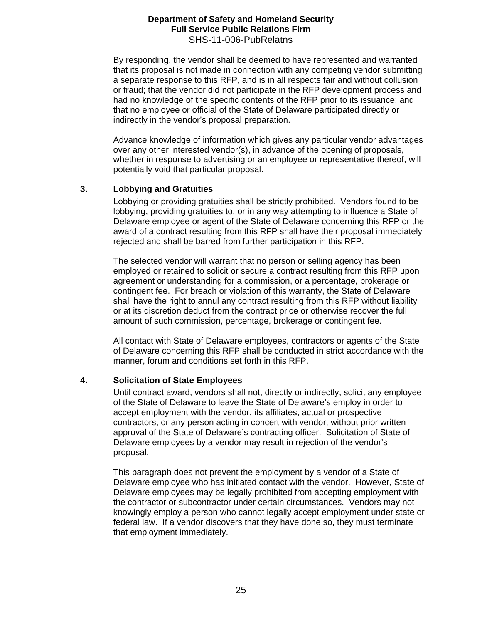By responding, the vendor shall be deemed to have represented and warranted that its proposal is not made in connection with any competing vendor submitting a separate response to this RFP, and is in all respects fair and without collusion or fraud; that the vendor did not participate in the RFP development process and had no knowledge of the specific contents of the RFP prior to its issuance; and that no employee or official of the State of Delaware participated directly or indirectly in the vendor's proposal preparation.

Advance knowledge of information which gives any particular vendor advantages over any other interested vendor(s), in advance of the opening of proposals, whether in response to advertising or an employee or representative thereof, will potentially void that particular proposal.

## **3. Lobbying and Gratuities**

Lobbying or providing gratuities shall be strictly prohibited. Vendors found to be lobbying, providing gratuities to, or in any way attempting to influence a State of Delaware employee or agent of the State of Delaware concerning this RFP or the award of a contract resulting from this RFP shall have their proposal immediately rejected and shall be barred from further participation in this RFP.

The selected vendor will warrant that no person or selling agency has been employed or retained to solicit or secure a contract resulting from this RFP upon agreement or understanding for a commission, or a percentage, brokerage or contingent fee. For breach or violation of this warranty, the State of Delaware shall have the right to annul any contract resulting from this RFP without liability or at its discretion deduct from the contract price or otherwise recover the full amount of such commission, percentage, brokerage or contingent fee.

All contact with State of Delaware employees, contractors or agents of the State of Delaware concerning this RFP shall be conducted in strict accordance with the manner, forum and conditions set forth in this RFP.

## **4. Solicitation of State Employees**

Until contract award, vendors shall not, directly or indirectly, solicit any employee of the State of Delaware to leave the State of Delaware's employ in order to accept employment with the vendor, its affiliates, actual or prospective contractors, or any person acting in concert with vendor, without prior written approval of the State of Delaware's contracting officer. Solicitation of State of Delaware employees by a vendor may result in rejection of the vendor's proposal.

This paragraph does not prevent the employment by a vendor of a State of Delaware employee who has initiated contact with the vendor. However, State of Delaware employees may be legally prohibited from accepting employment with the contractor or subcontractor under certain circumstances. Vendors may not knowingly employ a person who cannot legally accept employment under state or federal law. If a vendor discovers that they have done so, they must terminate that employment immediately.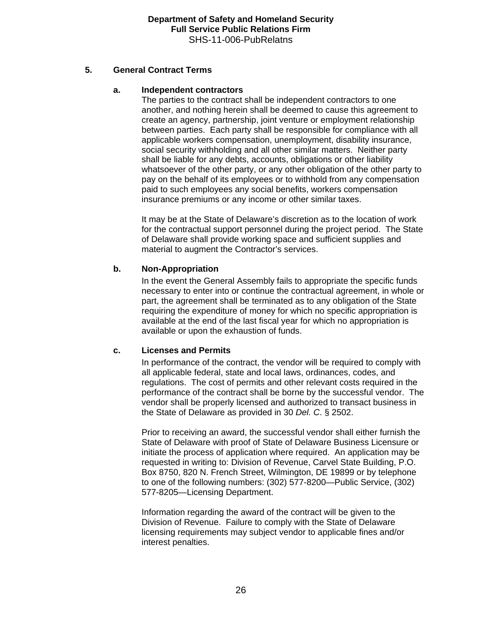## **5. General Contract Terms**

## **a. Independent contractors**

The parties to the contract shall be independent contractors to one another, and nothing herein shall be deemed to cause this agreement to create an agency, partnership, joint venture or employment relationship between parties. Each party shall be responsible for compliance with all applicable workers compensation, unemployment, disability insurance, social security withholding and all other similar matters. Neither party shall be liable for any debts, accounts, obligations or other liability whatsoever of the other party, or any other obligation of the other party to pay on the behalf of its employees or to withhold from any compensation paid to such employees any social benefits, workers compensation insurance premiums or any income or other similar taxes.

It may be at the State of Delaware's discretion as to the location of work for the contractual support personnel during the project period. The State of Delaware shall provide working space and sufficient supplies and material to augment the Contractor's services.

## **b. Non-Appropriation**

In the event the General Assembly fails to appropriate the specific funds necessary to enter into or continue the contractual agreement, in whole or part, the agreement shall be terminated as to any obligation of the State requiring the expenditure of money for which no specific appropriation is available at the end of the last fiscal year for which no appropriation is available or upon the exhaustion of funds.

## **c. Licenses and Permits**

In performance of the contract, the vendor will be required to comply with all applicable federal, state and local laws, ordinances, codes, and regulations. The cost of permits and other relevant costs required in the performance of the contract shall be borne by the successful vendor. The vendor shall be properly licensed and authorized to transact business in the State of Delaware as provided in 30 *Del. C*. § 2502.

Prior to receiving an award, the successful vendor shall either furnish the State of Delaware with proof of State of Delaware Business Licensure or initiate the process of application where required. An application may be requested in writing to: Division of Revenue, Carvel State Building, P.O. Box 8750, 820 N. French Street, Wilmington, DE 19899 or by telephone to one of the following numbers: (302) 577-8200—Public Service, (302) 577-8205—Licensing Department.

Information regarding the award of the contract will be given to the Division of Revenue. Failure to comply with the State of Delaware licensing requirements may subject vendor to applicable fines and/or interest penalties.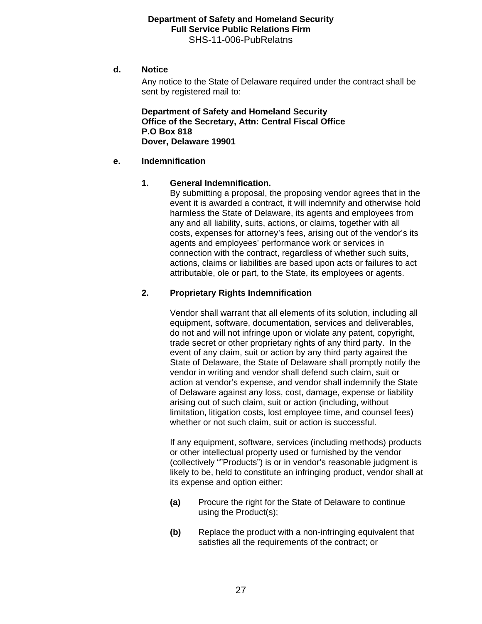#### **d. Notice**

Any notice to the State of Delaware required under the contract shall be sent by registered mail to:

 **Department of Safety and Homeland Security Office of the Secretary, Attn: Central Fiscal Office P.O Box 818 Dover, Delaware 19901** 

#### **e. Indemnification**

#### **1. General Indemnification.**

By submitting a proposal, the proposing vendor agrees that in the event it is awarded a contract, it will indemnify and otherwise hold harmless the State of Delaware, its agents and employees from any and all liability, suits, actions, or claims, together with all costs, expenses for attorney's fees, arising out of the vendor's its agents and employees' performance work or services in connection with the contract, regardless of whether such suits, actions, claims or liabilities are based upon acts or failures to act attributable, ole or part, to the State, its employees or agents.

## **2. Proprietary Rights Indemnification**

Vendor shall warrant that all elements of its solution, including all equipment, software, documentation, services and deliverables, do not and will not infringe upon or violate any patent, copyright, trade secret or other proprietary rights of any third party. In the event of any claim, suit or action by any third party against the State of Delaware, the State of Delaware shall promptly notify the vendor in writing and vendor shall defend such claim, suit or action at vendor's expense, and vendor shall indemnify the State of Delaware against any loss, cost, damage, expense or liability arising out of such claim, suit or action (including, without limitation, litigation costs, lost employee time, and counsel fees) whether or not such claim, suit or action is successful.

If any equipment, software, services (including methods) products or other intellectual property used or furnished by the vendor (collectively ""Products") is or in vendor's reasonable judgment is likely to be, held to constitute an infringing product, vendor shall at its expense and option either:

- **(a)** Procure the right for the State of Delaware to continue using the Product(s);
- **(b)** Replace the product with a non-infringing equivalent that satisfies all the requirements of the contract; or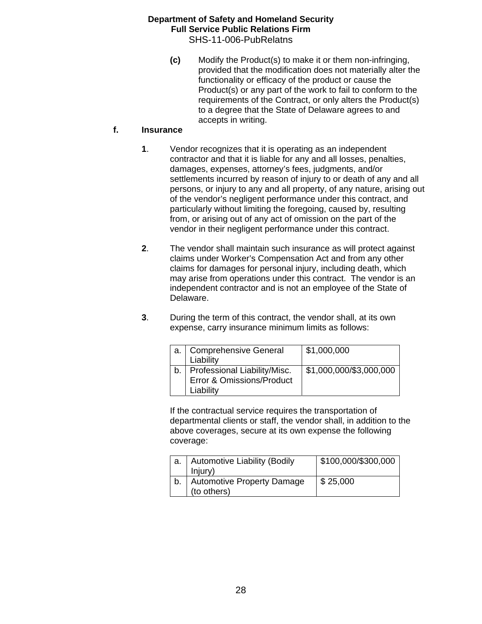**(c)** Modify the Product(s) to make it or them non-infringing, provided that the modification does not materially alter the functionality or efficacy of the product or cause the Product(s) or any part of the work to fail to conform to the requirements of the Contract, or only alters the Product(s) to a degree that the State of Delaware agrees to and accepts in writing.

## **f. Insurance**

- **1**. Vendor recognizes that it is operating as an independent contractor and that it is liable for any and all losses, penalties, damages, expenses, attorney's fees, judgments, and/or settlements incurred by reason of injury to or death of any and all persons, or injury to any and all property, of any nature, arising out of the vendor's negligent performance under this contract, and particularly without limiting the foregoing, caused by, resulting from, or arising out of any act of omission on the part of the vendor in their negligent performance under this contract.
- **2**. The vendor shall maintain such insurance as will protect against claims under Worker's Compensation Act and from any other claims for damages for personal injury, including death, which may arise from operations under this contract. The vendor is an independent contractor and is not an employee of the State of Delaware.
- **3**. During the term of this contract, the vendor shall, at its own expense, carry insurance minimum limits as follows:

| a.   Comprehensive General<br>Liability                                     | \$1,000,000             |
|-----------------------------------------------------------------------------|-------------------------|
| b.   Professional Liability/Misc.<br>Error & Omissions/Product<br>Liability | \$1,000,000/\$3,000,000 |

If the contractual service requires the transportation of departmental clients or staff, the vendor shall, in addition to the above coverages, secure at its own expense the following coverage:

| a.   Automotive Liability (Bodily | \$100,000/\$300,000 |
|-----------------------------------|---------------------|
| Injury)                           |                     |
| Automotive Property Damage        | \$25,000            |
| (to others)                       |                     |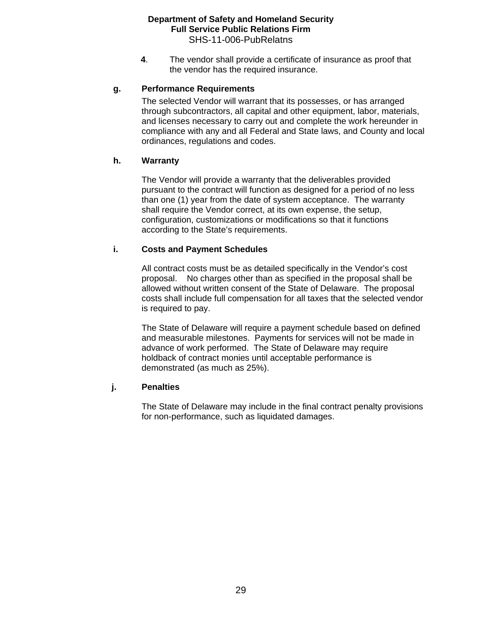**4**. The vendor shall provide a certificate of insurance as proof that the vendor has the required insurance.

## **g. Performance Requirements**

The selected Vendor will warrant that its possesses, or has arranged through subcontractors, all capital and other equipment, labor, materials, and licenses necessary to carry out and complete the work hereunder in compliance with any and all Federal and State laws, and County and local ordinances, regulations and codes.

## **h. Warranty**

The Vendor will provide a warranty that the deliverables provided pursuant to the contract will function as designed for a period of no less than one (1) year from the date of system acceptance. The warranty shall require the Vendor correct, at its own expense, the setup, configuration, customizations or modifications so that it functions according to the State's requirements.

## **i. Costs and Payment Schedules**

All contract costs must be as detailed specifically in the Vendor's cost proposal. No charges other than as specified in the proposal shall be allowed without written consent of the State of Delaware. The proposal costs shall include full compensation for all taxes that the selected vendor is required to pay.

The State of Delaware will require a payment schedule based on defined and measurable milestones. Payments for services will not be made in advance of work performed. The State of Delaware may require holdback of contract monies until acceptable performance is demonstrated (as much as 25%).

## **j. Penalties**

The State of Delaware may include in the final contract penalty provisions for non-performance, such as liquidated damages.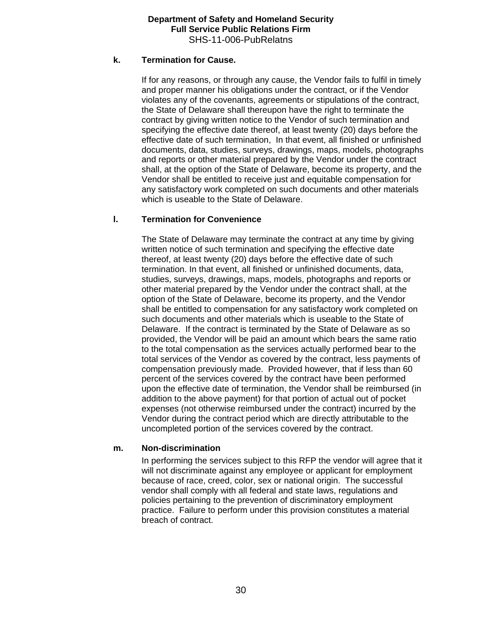## **k. Termination for Cause.**

If for any reasons, or through any cause, the Vendor fails to fulfil in timely and proper manner his obligations under the contract, or if the Vendor violates any of the covenants, agreements or stipulations of the contract, the State of Delaware shall thereupon have the right to terminate the contract by giving written notice to the Vendor of such termination and specifying the effective date thereof, at least twenty (20) days before the effective date of such termination, In that event, all finished or unfinished documents, data, studies, surveys, drawings, maps, models, photographs and reports or other material prepared by the Vendor under the contract shall, at the option of the State of Delaware, become its property, and the Vendor shall be entitled to receive just and equitable compensation for any satisfactory work completed on such documents and other materials which is useable to the State of Delaware.

## **l. Termination for Convenience**

The State of Delaware may terminate the contract at any time by giving written notice of such termination and specifying the effective date thereof, at least twenty (20) days before the effective date of such termination. In that event, all finished or unfinished documents, data, studies, surveys, drawings, maps, models, photographs and reports or other material prepared by the Vendor under the contract shall, at the option of the State of Delaware, become its property, and the Vendor shall be entitled to compensation for any satisfactory work completed on such documents and other materials which is useable to the State of Delaware. If the contract is terminated by the State of Delaware as so provided, the Vendor will be paid an amount which bears the same ratio to the total compensation as the services actually performed bear to the total services of the Vendor as covered by the contract, less payments of compensation previously made. Provided however, that if less than 60 percent of the services covered by the contract have been performed upon the effective date of termination, the Vendor shall be reimbursed (in addition to the above payment) for that portion of actual out of pocket expenses (not otherwise reimbursed under the contract) incurred by the Vendor during the contract period which are directly attributable to the uncompleted portion of the services covered by the contract.

## **m. Non-discrimination**

In performing the services subject to this RFP the vendor will agree that it will not discriminate against any employee or applicant for employment because of race, creed, color, sex or national origin. The successful vendor shall comply with all federal and state laws, regulations and policies pertaining to the prevention of discriminatory employment practice. Failure to perform under this provision constitutes a material breach of contract.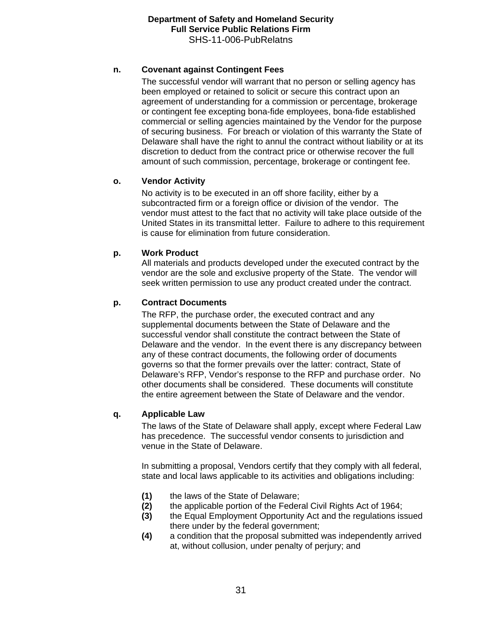## **n. Covenant against Contingent Fees**

The successful vendor will warrant that no person or selling agency has been employed or retained to solicit or secure this contract upon an agreement of understanding for a commission or percentage, brokerage or contingent fee excepting bona-fide employees, bona-fide established commercial or selling agencies maintained by the Vendor for the purpose of securing business. For breach or violation of this warranty the State of Delaware shall have the right to annul the contract without liability or at its discretion to deduct from the contract price or otherwise recover the full amount of such commission, percentage, brokerage or contingent fee.

## **o. Vendor Activity**

No activity is to be executed in an off shore facility, either by a subcontracted firm or a foreign office or division of the vendor. The vendor must attest to the fact that no activity will take place outside of the United States in its transmittal letter. Failure to adhere to this requirement is cause for elimination from future consideration.

## **p. Work Product**

All materials and products developed under the executed contract by the vendor are the sole and exclusive property of the State. The vendor will seek written permission to use any product created under the contract.

## **p. Contract Documents**

The RFP, the purchase order, the executed contract and any supplemental documents between the State of Delaware and the successful vendor shall constitute the contract between the State of Delaware and the vendor. In the event there is any discrepancy between any of these contract documents, the following order of documents governs so that the former prevails over the latter: contract, State of Delaware's RFP, Vendor's response to the RFP and purchase order. No other documents shall be considered. These documents will constitute the entire agreement between the State of Delaware and the vendor.

## **q. Applicable Law**

The laws of the State of Delaware shall apply, except where Federal Law has precedence. The successful vendor consents to jurisdiction and venue in the State of Delaware.

In submitting a proposal, Vendors certify that they comply with all federal, state and local laws applicable to its activities and obligations including:

- **(1)** the laws of the State of Delaware;
- **(2)** the applicable portion of the Federal Civil Rights Act of 1964;
- **(3)** the Equal Employment Opportunity Act and the regulations issued there under by the federal government;
- **(4)** a condition that the proposal submitted was independently arrived at, without collusion, under penalty of perjury; and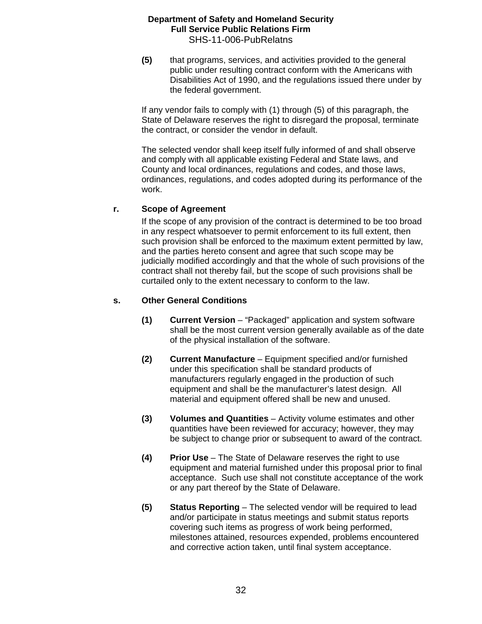**(5)** that programs, services, and activities provided to the general public under resulting contract conform with the Americans with Disabilities Act of 1990, and the regulations issued there under by the federal government.

If any vendor fails to comply with (1) through (5) of this paragraph, the State of Delaware reserves the right to disregard the proposal, terminate the contract, or consider the vendor in default.

The selected vendor shall keep itself fully informed of and shall observe and comply with all applicable existing Federal and State laws, and County and local ordinances, regulations and codes, and those laws, ordinances, regulations, and codes adopted during its performance of the work.

## **r. Scope of Agreement**

If the scope of any provision of the contract is determined to be too broad in any respect whatsoever to permit enforcement to its full extent, then such provision shall be enforced to the maximum extent permitted by law, and the parties hereto consent and agree that such scope may be judicially modified accordingly and that the whole of such provisions of the contract shall not thereby fail, but the scope of such provisions shall be curtailed only to the extent necessary to conform to the law.

## **s. Other General Conditions**

- **(1) Current Version** "Packaged" application and system software shall be the most current version generally available as of the date of the physical installation of the software.
- **(2) Current Manufacture** Equipment specified and/or furnished under this specification shall be standard products of manufacturers regularly engaged in the production of such equipment and shall be the manufacturer's latest design. All material and equipment offered shall be new and unused.
- **(3) Volumes and Quantities** Activity volume estimates and other quantities have been reviewed for accuracy; however, they may be subject to change prior or subsequent to award of the contract.
- **(4) Prior Use** The State of Delaware reserves the right to use equipment and material furnished under this proposal prior to final acceptance. Such use shall not constitute acceptance of the work or any part thereof by the State of Delaware.
- **(5) Status Reporting** The selected vendor will be required to lead and/or participate in status meetings and submit status reports covering such items as progress of work being performed, milestones attained, resources expended, problems encountered and corrective action taken, until final system acceptance.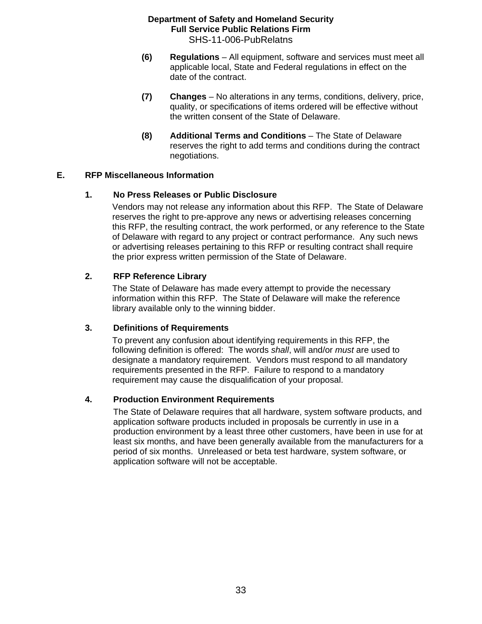- **(6) Regulations** All equipment, software and services must meet all applicable local, State and Federal regulations in effect on the date of the contract.
- **(7) Changes** No alterations in any terms, conditions, delivery, price, quality, or specifications of items ordered will be effective without the written consent of the State of Delaware.
- **(8) Additional Terms and Conditions** The State of Delaware reserves the right to add terms and conditions during the contract negotiations.

## **E. RFP Miscellaneous Information**

## **1. No Press Releases or Public Disclosure**

Vendors may not release any information about this RFP. The State of Delaware reserves the right to pre-approve any news or advertising releases concerning this RFP, the resulting contract, the work performed, or any reference to the State of Delaware with regard to any project or contract performance. Any such news or advertising releases pertaining to this RFP or resulting contract shall require the prior express written permission of the State of Delaware.

## **2. RFP Reference Library**

The State of Delaware has made every attempt to provide the necessary information within this RFP. The State of Delaware will make the reference library available only to the winning bidder.

## **3. Definitions of Requirements**

To prevent any confusion about identifying requirements in this RFP, the following definition is offered: The words *shall*, will and/or *must* are used to designate a mandatory requirement. Vendors must respond to all mandatory requirements presented in the RFP. Failure to respond to a mandatory requirement may cause the disqualification of your proposal.

## **4. Production Environment Requirements**

The State of Delaware requires that all hardware, system software products, and application software products included in proposals be currently in use in a production environment by a least three other customers, have been in use for at least six months, and have been generally available from the manufacturers for a period of six months. Unreleased or beta test hardware, system software, or application software will not be acceptable.